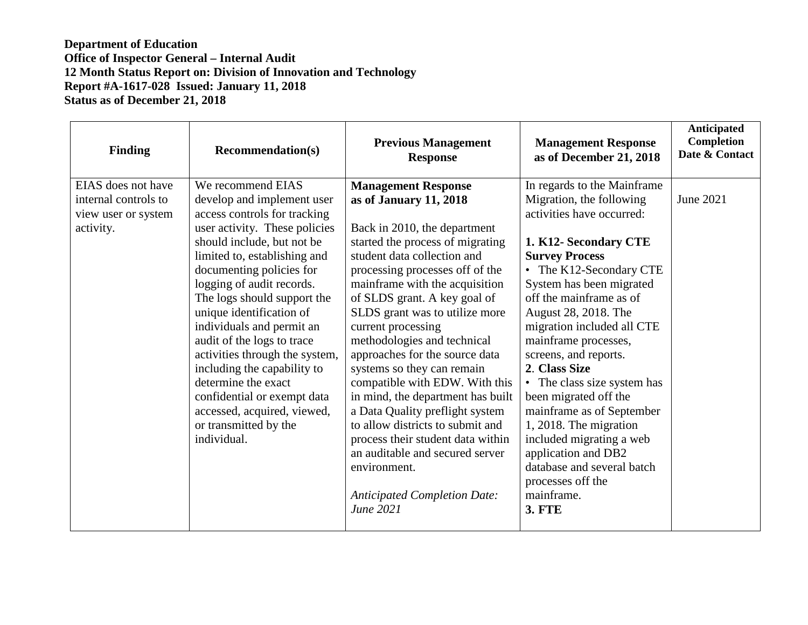| Finding                                                                        | <b>Recommendation(s)</b>                                                                                                                                                                                                                                                                                                                                                                                                                                                                                                                                    | <b>Previous Management</b><br><b>Response</b>                                                                                                                                                                                                                                                                                                                                                                                                                                                                                                                                                                                                                                                                 | <b>Management Response</b><br>as of December 21, 2018                                                                                                                                                                                                                                                                                                                                                                                                                                                                                                                                                | <b>Anticipated</b><br><b>Completion</b><br>Date & Contact |
|--------------------------------------------------------------------------------|-------------------------------------------------------------------------------------------------------------------------------------------------------------------------------------------------------------------------------------------------------------------------------------------------------------------------------------------------------------------------------------------------------------------------------------------------------------------------------------------------------------------------------------------------------------|---------------------------------------------------------------------------------------------------------------------------------------------------------------------------------------------------------------------------------------------------------------------------------------------------------------------------------------------------------------------------------------------------------------------------------------------------------------------------------------------------------------------------------------------------------------------------------------------------------------------------------------------------------------------------------------------------------------|------------------------------------------------------------------------------------------------------------------------------------------------------------------------------------------------------------------------------------------------------------------------------------------------------------------------------------------------------------------------------------------------------------------------------------------------------------------------------------------------------------------------------------------------------------------------------------------------------|-----------------------------------------------------------|
| EIAS does not have<br>internal controls to<br>view user or system<br>activity. | We recommend EIAS<br>develop and implement user<br>access controls for tracking<br>user activity. These policies<br>should include, but not be<br>limited to, establishing and<br>documenting policies for<br>logging of audit records.<br>The logs should support the<br>unique identification of<br>individuals and permit an<br>audit of the logs to trace<br>activities through the system,<br>including the capability to<br>determine the exact<br>confidential or exempt data<br>accessed, acquired, viewed,<br>or transmitted by the<br>individual. | <b>Management Response</b><br>as of January 11, 2018<br>Back in 2010, the department<br>started the process of migrating<br>student data collection and<br>processing processes off of the<br>mainframe with the acquisition<br>of SLDS grant. A key goal of<br>SLDS grant was to utilize more<br>current processing<br>methodologies and technical<br>approaches for the source data<br>systems so they can remain<br>compatible with EDW. With this<br>in mind, the department has built<br>a Data Quality preflight system<br>to allow districts to submit and<br>process their student data within<br>an auditable and secured server<br>environment.<br><b>Anticipated Completion Date:</b><br>June 2021 | In regards to the Mainframe<br>Migration, the following<br>activities have occurred:<br>1. K12- Secondary CTE<br><b>Survey Process</b><br>• The K12-Secondary CTE<br>System has been migrated<br>off the mainframe as of<br>August 28, 2018. The<br>migration included all CTE<br>mainframe processes,<br>screens, and reports.<br>2. Class Size<br>• The class size system has<br>been migrated off the<br>mainframe as of September<br>1, 2018. The migration<br>included migrating a web<br>application and DB2<br>database and several batch<br>processes off the<br>mainframe.<br><b>3. FTE</b> | June 2021                                                 |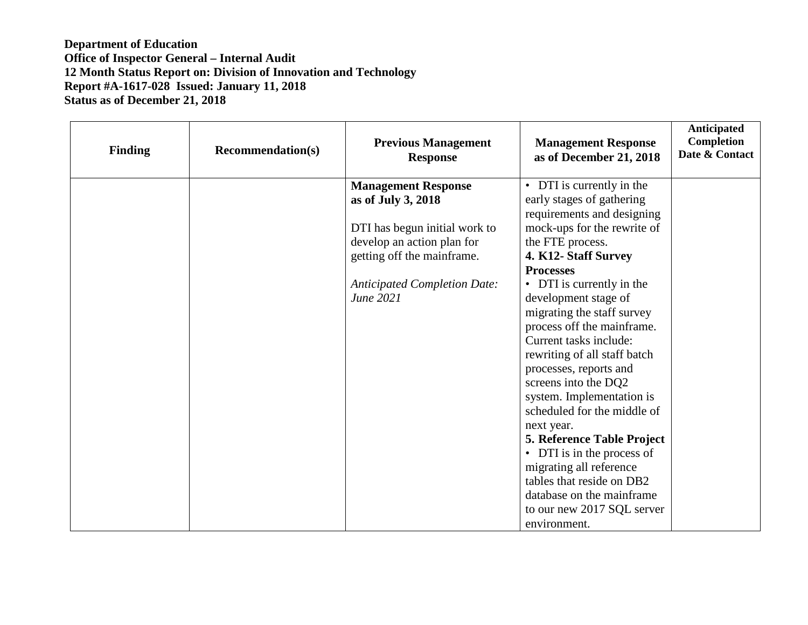| <b>Finding</b> | <b>Recommendation(s)</b> | <b>Previous Management</b><br><b>Response</b> | <b>Management Response</b><br>as of December 21, 2018 | Anticipated<br>Completion<br>Date & Contact |
|----------------|--------------------------|-----------------------------------------------|-------------------------------------------------------|---------------------------------------------|
|                |                          | <b>Management Response</b>                    | DTI is currently in the<br>$\bullet$                  |                                             |
|                |                          | as of July 3, 2018                            | early stages of gathering                             |                                             |
|                |                          |                                               | requirements and designing                            |                                             |
|                |                          | DTI has begun initial work to                 | mock-ups for the rewrite of                           |                                             |
|                |                          | develop an action plan for                    | the FTE process.                                      |                                             |
|                |                          | getting off the mainframe.                    | 4. K12- Staff Survey                                  |                                             |
|                |                          |                                               | <b>Processes</b>                                      |                                             |
|                |                          | <b>Anticipated Completion Date:</b>           | DTI is currently in the<br>$\bullet$                  |                                             |
|                |                          | June 2021                                     | development stage of                                  |                                             |
|                |                          |                                               | migrating the staff survey                            |                                             |
|                |                          |                                               | process off the mainframe.                            |                                             |
|                |                          |                                               | Current tasks include:                                |                                             |
|                |                          |                                               | rewriting of all staff batch                          |                                             |
|                |                          |                                               | processes, reports and                                |                                             |
|                |                          |                                               | screens into the DQ2                                  |                                             |
|                |                          |                                               | system. Implementation is                             |                                             |
|                |                          |                                               | scheduled for the middle of                           |                                             |
|                |                          |                                               | next year.                                            |                                             |
|                |                          |                                               | 5. Reference Table Project                            |                                             |
|                |                          |                                               | DTI is in the process of<br>$\bullet$                 |                                             |
|                |                          |                                               | migrating all reference                               |                                             |
|                |                          |                                               | tables that reside on DB2                             |                                             |
|                |                          |                                               | database on the mainframe                             |                                             |
|                |                          |                                               | to our new 2017 SQL server                            |                                             |
|                |                          |                                               | environment.                                          |                                             |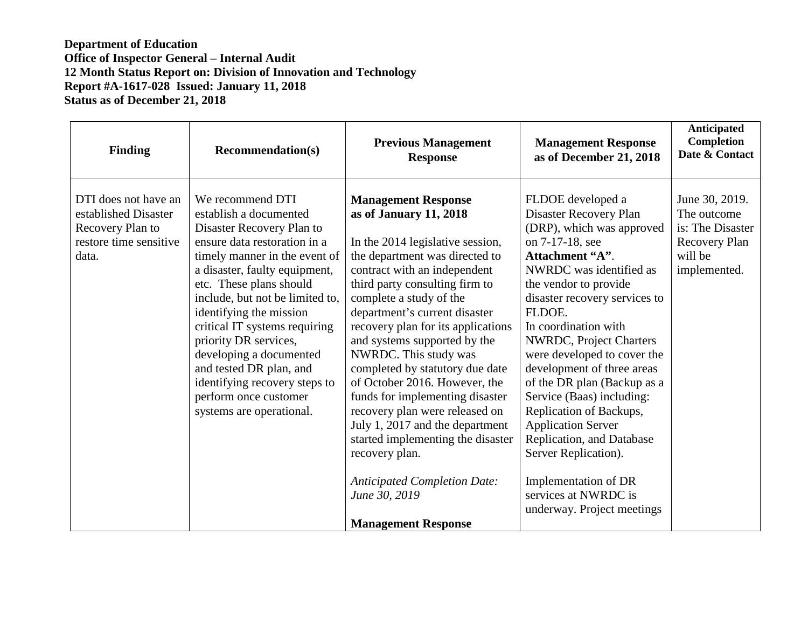| <b>Finding</b>                                                                                      | <b>Recommendation(s)</b>                                                                                                                                                                                                                                                                                                                                                                                                                                                 | <b>Previous Management</b><br><b>Response</b>                                                                                                                                                                                                                                                                                                                                                                                                                                                                                                                                                                                                                                    | <b>Management Response</b><br>as of December 21, 2018                                                                                                                                                                                                                                                                                                                                                                                                                                                                                                                                | Anticipated<br>Completion<br>Date & Contact                                                   |
|-----------------------------------------------------------------------------------------------------|--------------------------------------------------------------------------------------------------------------------------------------------------------------------------------------------------------------------------------------------------------------------------------------------------------------------------------------------------------------------------------------------------------------------------------------------------------------------------|----------------------------------------------------------------------------------------------------------------------------------------------------------------------------------------------------------------------------------------------------------------------------------------------------------------------------------------------------------------------------------------------------------------------------------------------------------------------------------------------------------------------------------------------------------------------------------------------------------------------------------------------------------------------------------|--------------------------------------------------------------------------------------------------------------------------------------------------------------------------------------------------------------------------------------------------------------------------------------------------------------------------------------------------------------------------------------------------------------------------------------------------------------------------------------------------------------------------------------------------------------------------------------|-----------------------------------------------------------------------------------------------|
| DTI does not have an<br>established Disaster<br>Recovery Plan to<br>restore time sensitive<br>data. | We recommend DTI<br>establish a documented<br>Disaster Recovery Plan to<br>ensure data restoration in a<br>timely manner in the event of<br>a disaster, faulty equipment,<br>etc. These plans should<br>include, but not be limited to,<br>identifying the mission<br>critical IT systems requiring<br>priority DR services,<br>developing a documented<br>and tested DR plan, and<br>identifying recovery steps to<br>perform once customer<br>systems are operational. | <b>Management Response</b><br>as of January 11, 2018<br>In the 2014 legislative session,<br>the department was directed to<br>contract with an independent<br>third party consulting firm to<br>complete a study of the<br>department's current disaster<br>recovery plan for its applications<br>and systems supported by the<br>NWRDC. This study was<br>completed by statutory due date<br>of October 2016. However, the<br>funds for implementing disaster<br>recovery plan were released on<br>July 1, 2017 and the department<br>started implementing the disaster<br>recovery plan.<br><b>Anticipated Completion Date:</b><br>June 30, 2019<br><b>Management Response</b> | FLDOE developed a<br>Disaster Recovery Plan<br>(DRP), which was approved<br>on 7-17-18, see<br>Attachment "A".<br>NWRDC was identified as<br>the vendor to provide<br>disaster recovery services to<br>FLDOE.<br>In coordination with<br>NWRDC, Project Charters<br>were developed to cover the<br>development of three areas<br>of the DR plan (Backup as a<br>Service (Baas) including:<br>Replication of Backups,<br><b>Application Server</b><br>Replication, and Database<br>Server Replication).<br>Implementation of DR<br>services at NWRDC is<br>underway. Project meetings | June 30, 2019.<br>The outcome<br>is: The Disaster<br>Recovery Plan<br>will be<br>implemented. |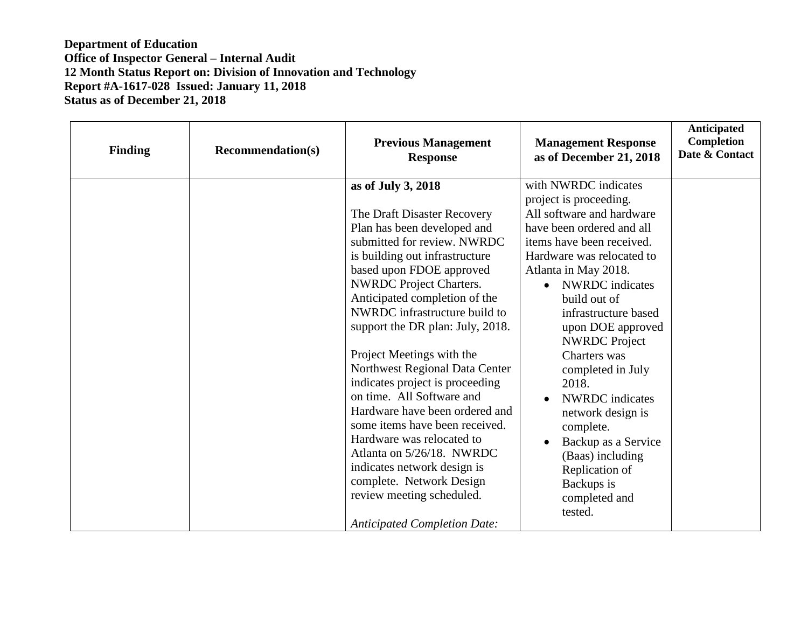| <b>Finding</b> | <b>Recommendation(s)</b> | <b>Previous Management</b><br><b>Response</b>                                                                                                                                                                                                                                                                                                                                                                                                                                                                                                                                                                                                                                                                     | <b>Management Response</b><br>as of December 21, 2018                                                                                                                                                                                                                                                                                                                                                                                                                                                                                                      | Anticipated<br><b>Completion</b><br>Date & Contact |
|----------------|--------------------------|-------------------------------------------------------------------------------------------------------------------------------------------------------------------------------------------------------------------------------------------------------------------------------------------------------------------------------------------------------------------------------------------------------------------------------------------------------------------------------------------------------------------------------------------------------------------------------------------------------------------------------------------------------------------------------------------------------------------|------------------------------------------------------------------------------------------------------------------------------------------------------------------------------------------------------------------------------------------------------------------------------------------------------------------------------------------------------------------------------------------------------------------------------------------------------------------------------------------------------------------------------------------------------------|----------------------------------------------------|
|                |                          | as of July 3, 2018<br>The Draft Disaster Recovery<br>Plan has been developed and<br>submitted for review. NWRDC<br>is building out infrastructure<br>based upon FDOE approved<br><b>NWRDC</b> Project Charters.<br>Anticipated completion of the<br>NWRDC infrastructure build to<br>support the DR plan: July, 2018.<br>Project Meetings with the<br>Northwest Regional Data Center<br>indicates project is proceeding<br>on time. All Software and<br>Hardware have been ordered and<br>some items have been received.<br>Hardware was relocated to<br>Atlanta on 5/26/18. NWRDC<br>indicates network design is<br>complete. Network Design<br>review meeting scheduled.<br><b>Anticipated Completion Date:</b> | with NWRDC indicates<br>project is proceeding.<br>All software and hardware<br>have been ordered and all<br>items have been received.<br>Hardware was relocated to<br>Atlanta in May 2018.<br>NWRDC indicates<br>$\bullet$<br>build out of<br>infrastructure based<br>upon DOE approved<br><b>NWRDC</b> Project<br>Charters was<br>completed in July<br>2018.<br><b>NWRDC</b> indicates<br>$\bullet$<br>network design is<br>complete.<br>Backup as a Service<br>$\bullet$<br>(Baas) including<br>Replication of<br>Backups is<br>completed and<br>tested. |                                                    |